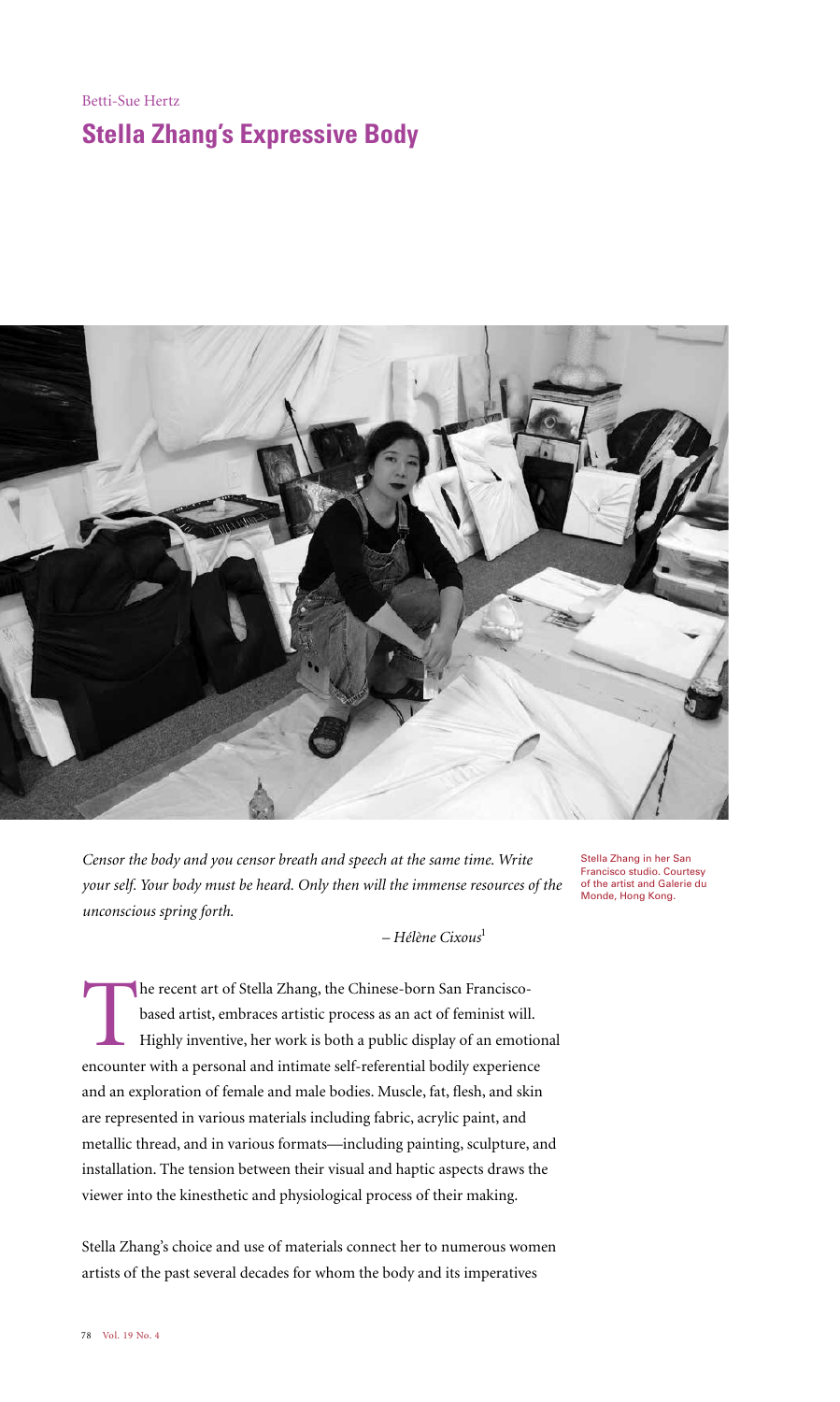## Betti-Sue Hertz **Stella Zhang's Expressive Body**



*Censor the body and you censor breath and speech at the same time. Write your self. Your body must be heard. Only then will the immense resources of the unconscious spring forth.*

 *– Hélène Cixous*<sup>1</sup>

The recent art of Stella Zhang, the Chinese-born San Franciscobased artist, embraces artistic process as an act of feminist will. Highly inventive, her work is both a public display of an emotional encounter with a personal and intimate self-referential bodily experience and an exploration of female and male bodies. Muscle, fat, flesh, and skin are represented in various materials including fabric, acrylic paint, and metallic thread, and in various formats—including painting, sculpture, and installation. The tension between their visual and haptic aspects draws the viewer into the kinesthetic and physiological process of their making.

Stella Zhang's choice and use of materials connect her to numerous women artists of the past several decades for whom the body and its imperatives

Stella Zhang in her San Francisco studio. Courtesy of the artist and Galerie du Monde, Hong Kong.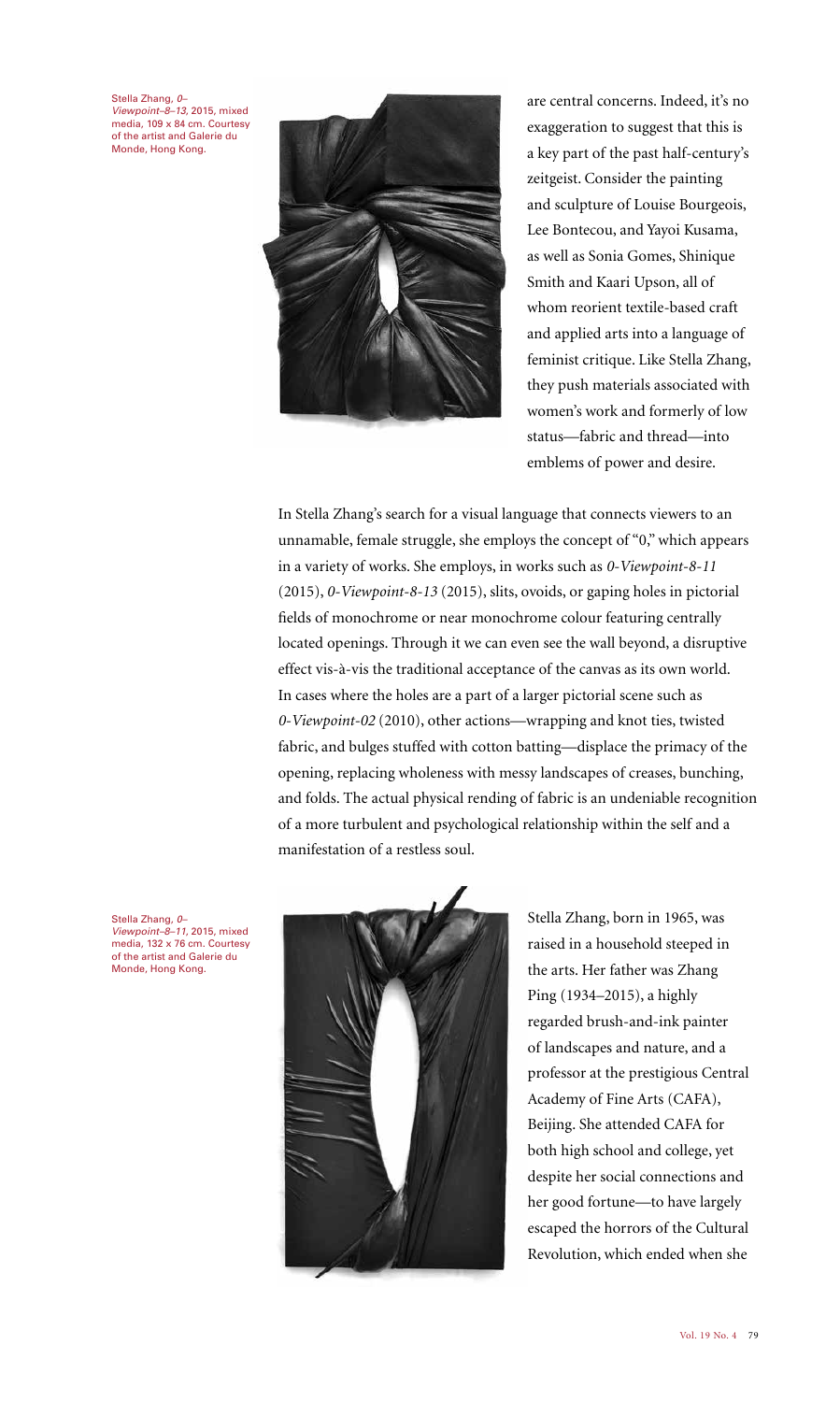Stella Zhang, *0– Viewpoint–8–13*, 2015, mixed media, 109 x 84 cm. Courtesy of the artist and Galerie du Monde, Hong Kong.



are central concerns. Indeed, it's no exaggeration to suggest that this is a key part of the past half-century's zeitgeist. Consider the painting and sculpture of Louise Bourgeois, Lee Bontecou, and Yayoi Kusama, as well as Sonia Gomes, Shinique Smith and Kaari Upson, all of whom reorient textile-based craft and applied arts into a language of feminist critique. Like Stella Zhang, they push materials associated with women's work and formerly of low status—fabric and thread—into emblems of power and desire.

In Stella Zhang's search for a visual language that connects viewers to an unnamable, female struggle, she employs the concept of "0," which appears in a variety of works. She employs, in works such as *0-Viewpoint-8-11* (2015), *0-Viewpoint-8-13* (2015), slits, ovoids, or gaping holes in pictorial fields of monochrome or near monochrome colour featuring centrally located openings. Through it we can even see the wall beyond, a disruptive effect vis-à-vis the traditional acceptance of the canvas as its own world. In cases where the holes are a part of a larger pictorial scene such as *0-Viewpoint-02* (2010), other actions—wrapping and knot ties, twisted fabric, and bulges stuffed with cotton batting—displace the primacy of the opening, replacing wholeness with messy landscapes of creases, bunching, and folds. The actual physical rending of fabric is an undeniable recognition of a more turbulent and psychological relationship within the self and a manifestation of a restless soul.

Stella Zhang, *0– Viewpoint–8–11*, 2015, mixed media, 132 x 76 cm. Courtesy of the artist and Galerie du Monde, Hong Kong.



Stella Zhang, born in 1965, was raised in a household steeped in the arts. Her father was Zhang Ping (1934–2015), a highly regarded brush-and-ink painter of landscapes and nature, and a professor at the prestigious Central Academy of Fine Arts (CAFA), Beijing. She attended CAFA for both high school and college, yet despite her social connections and her good fortune—to have largely escaped the horrors of the Cultural Revolution, which ended when she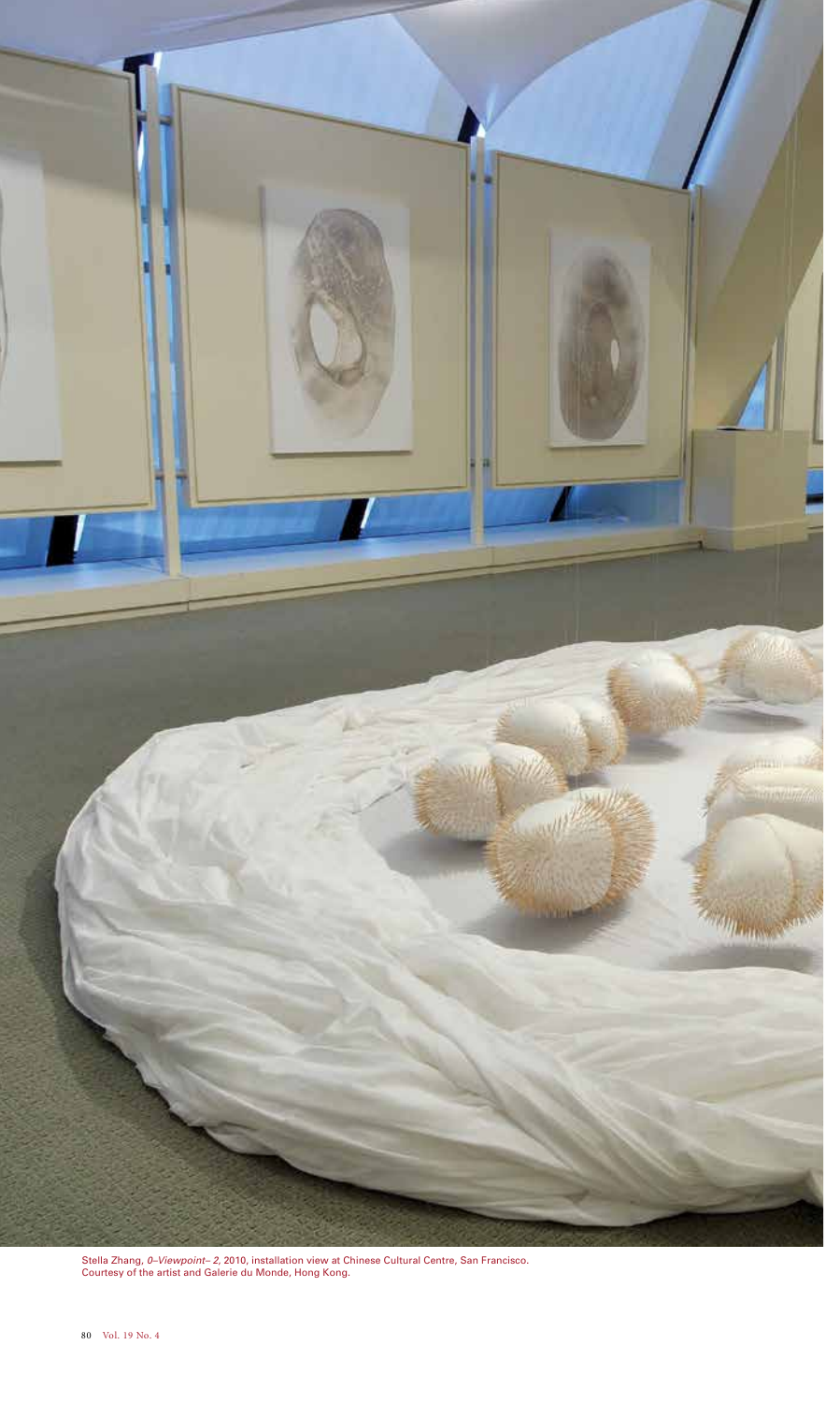

Stella Zhang, *0–Viewpoint– 2*, 2010, installation view at Chinese Cultural Centre, San Francisco. Courtesy of the artist and Galerie du Monde, Hong Kong.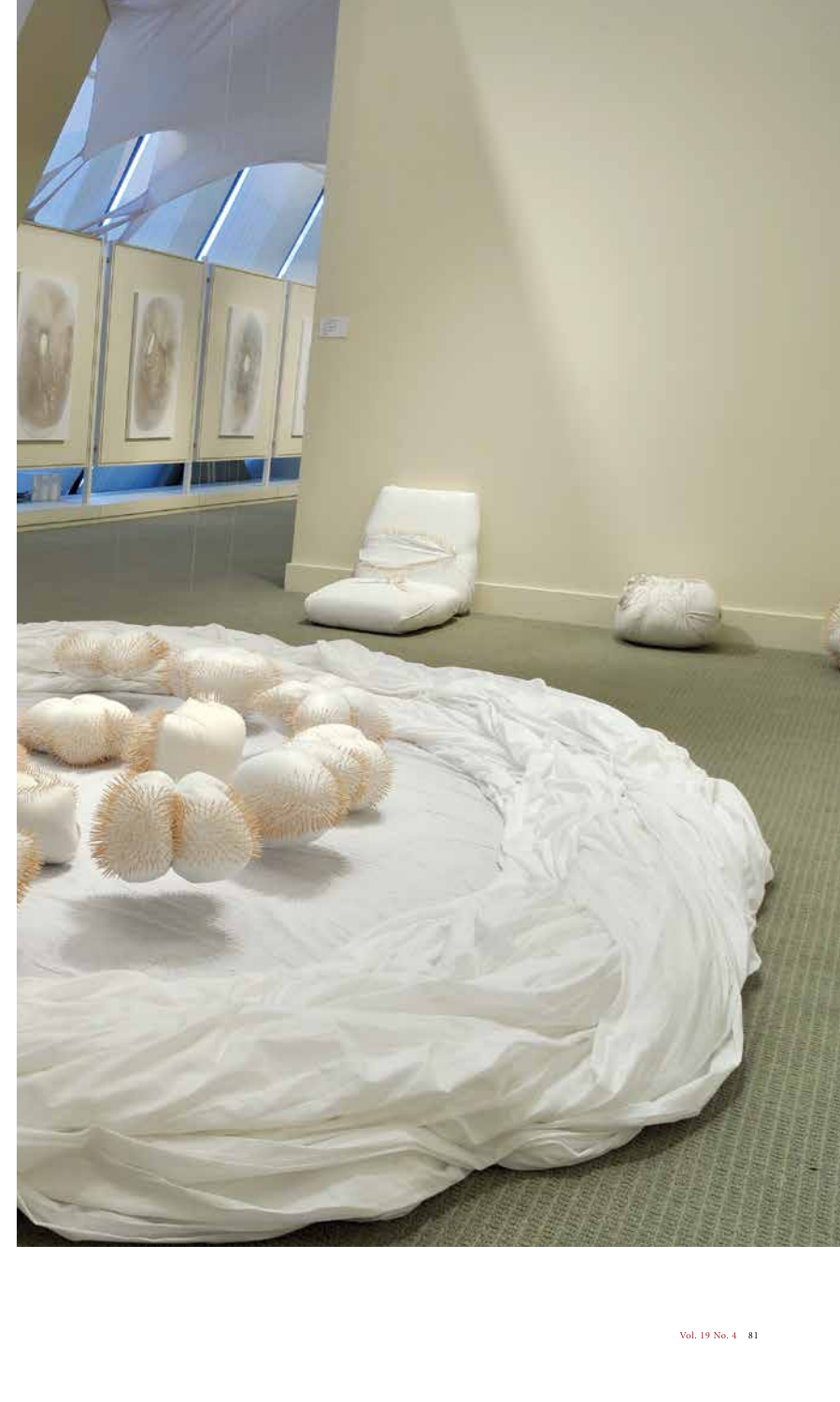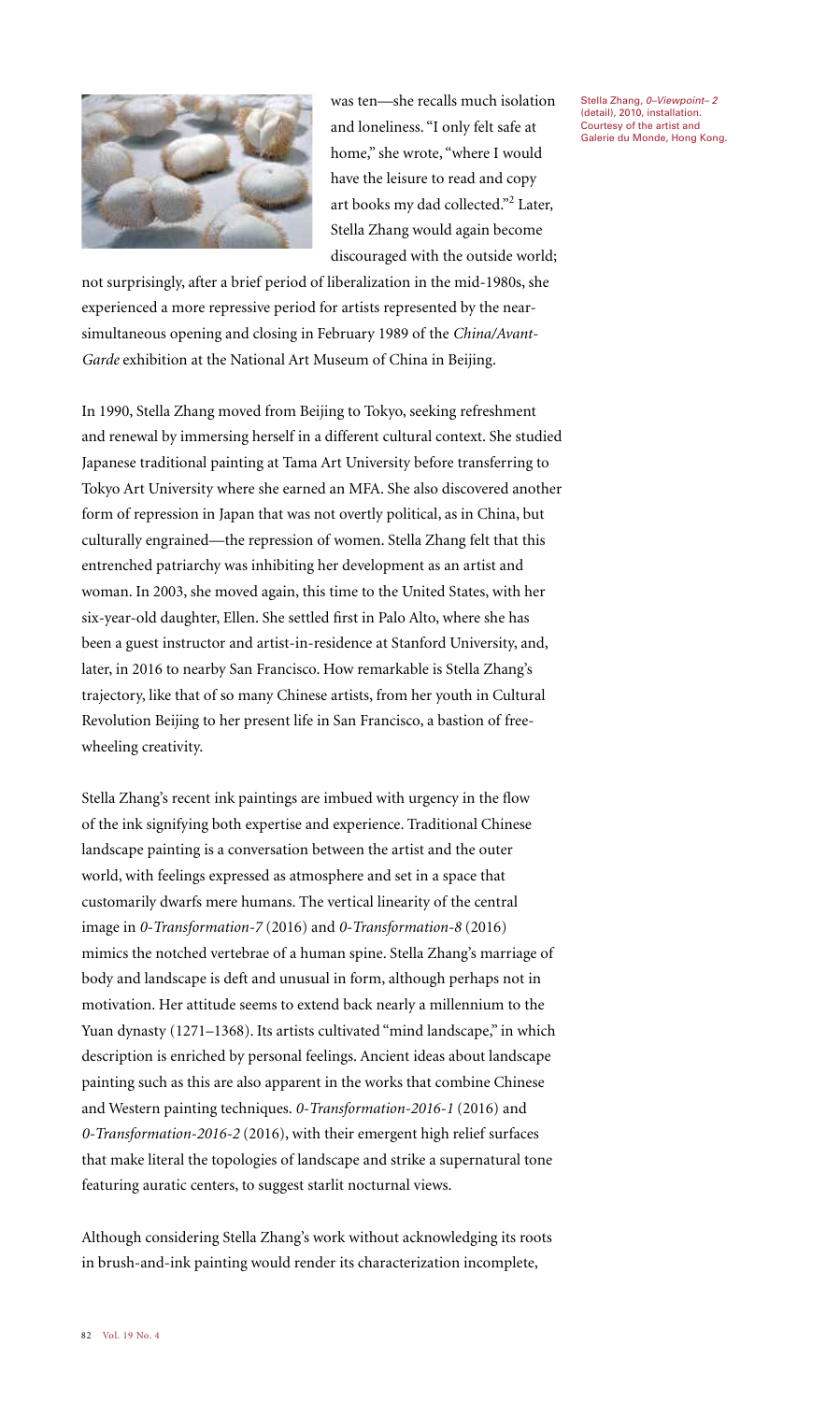

was ten—she recalls much isolation and loneliness. "I only felt safe at home," she wrote, "where I would have the leisure to read and copy art books my dad collected."<sup>2</sup> Later, Stella Zhang would again become discouraged with the outside world;

not surprisingly, after a brief period of liberalization in the mid-1980s, she experienced a more repressive period for artists represented by the nearsimultaneous opening and closing in February 1989 of the *China/Avant-Garde* exhibition at the National Art Museum of China in Beijing.

In 1990, Stella Zhang moved from Beijing to Tokyo, seeking refreshment and renewal by immersing herself in a different cultural context. She studied Japanese traditional painting at Tama Art University before transferring to Tokyo Art University where she earned an MFA. She also discovered another form of repression in Japan that was not overtly political, as in China, but culturally engrained—the repression of women. Stella Zhang felt that this entrenched patriarchy was inhibiting her development as an artist and woman. In 2003, she moved again, this time to the United States, with her six-year-old daughter, Ellen. She settled first in Palo Alto, where she has been a guest instructor and artist-in-residence at Stanford University, and, later, in 2016 to nearby San Francisco. How remarkable is Stella Zhang's trajectory, like that of so many Chinese artists, from her youth in Cultural Revolution Beijing to her present life in San Francisco, a bastion of freewheeling creativity.

Stella Zhang's recent ink paintings are imbued with urgency in the flow of the ink signifying both expertise and experience. Traditional Chinese landscape painting is a conversation between the artist and the outer world, with feelings expressed as atmosphere and set in a space that customarily dwarfs mere humans. The vertical linearity of the central image in *0-Transformation-7* (2016) and *0-Transformation-8* (2016) mimics the notched vertebrae of a human spine. Stella Zhang's marriage of body and landscape is deft and unusual in form, although perhaps not in motivation. Her attitude seems to extend back nearly a millennium to the Yuan dynasty (1271–1368). Its artists cultivated "mind landscape," in which description is enriched by personal feelings. Ancient ideas about landscape painting such as this are also apparent in the works that combine Chinese and Western painting techniques. *0-Transformation-2016-1* (2016) and *0-Transformation-2016-2* (2016), with their emergent high relief surfaces that make literal the topologies of landscape and strike a supernatural tone featuring auratic centers, to suggest starlit nocturnal views.

Although considering Stella Zhang's work without acknowledging its roots in brush-and-ink painting would render its characterization incomplete,

Stella Zhang, *0–Viewpoint– 2*  (detail), 2010, installation. Courtesy of the artist and Galerie du Monde, Hong Kong.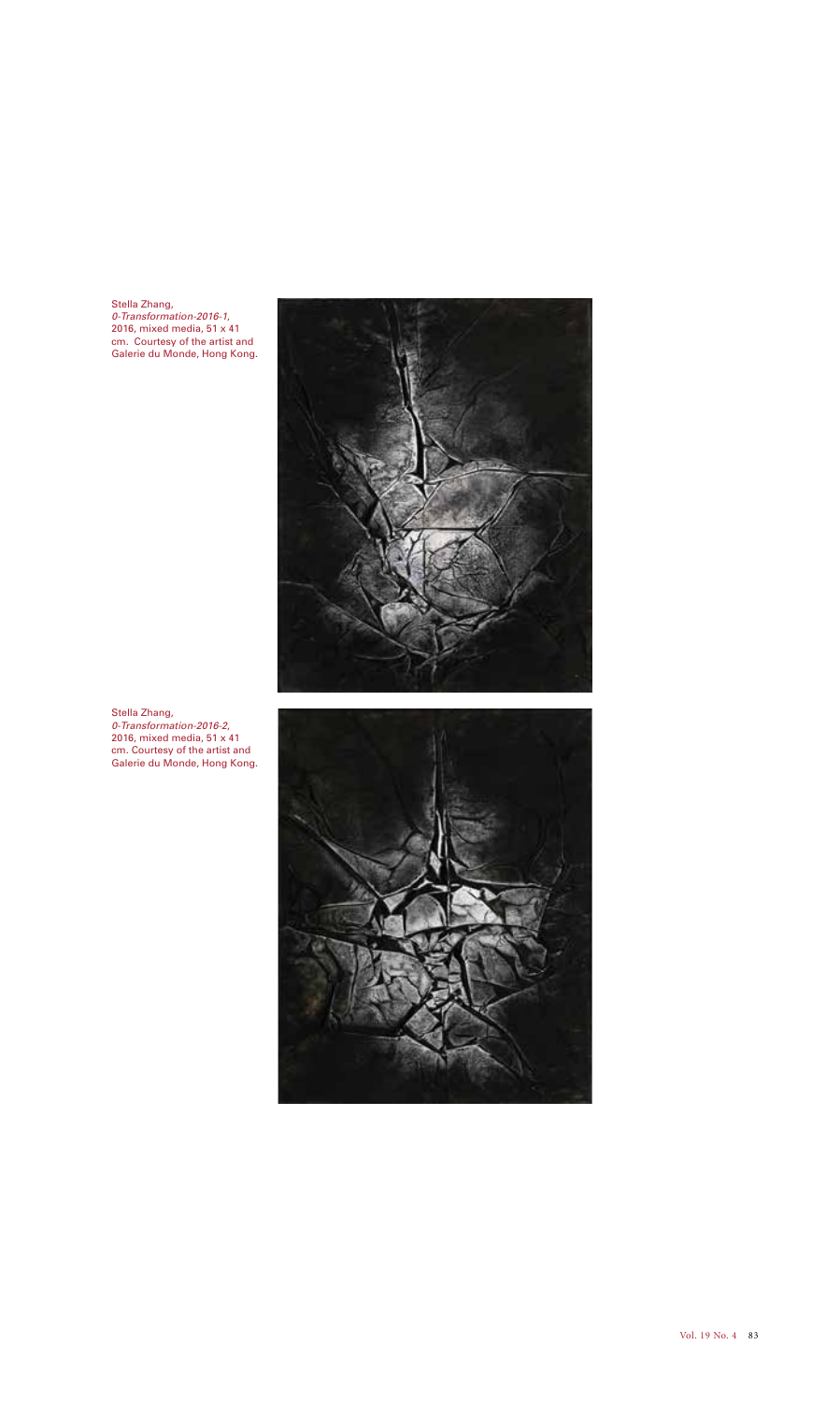Stella Zhang,<br>*0-Transformation-2016-1,*<br>2016, mixed media, 51 x 41<br>cm. Courtesy of the artist and<br>Galerie du Monde, Hong Kong.



Stella Zhang,<br>*0-Transformation-2016-2,*<br>2016, mixed media, 51 x 41<br>cm. Courtesy of the artist and<br>Galerie du Monde, Hong Kong.

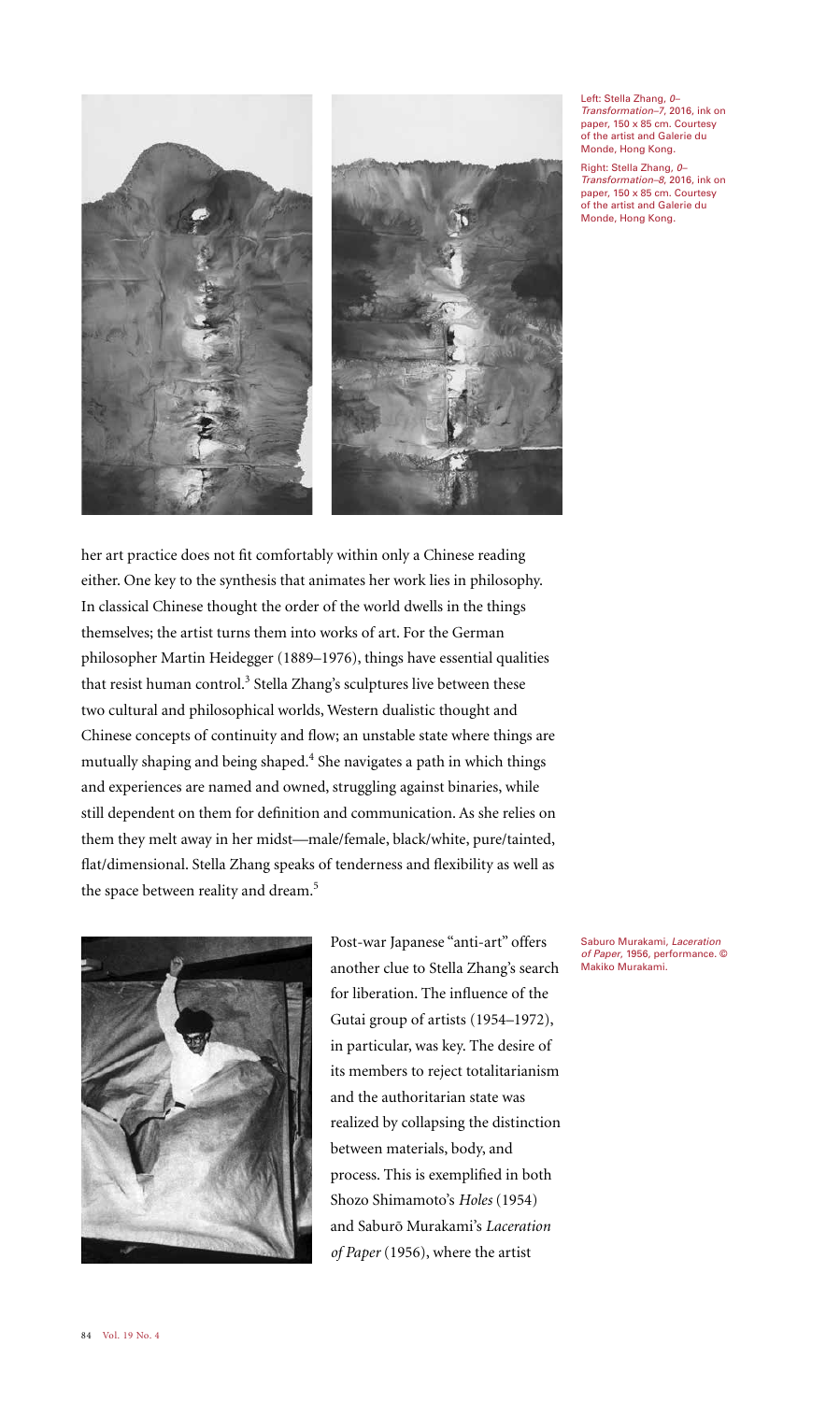

Left: Stella Zhang, *0– Transformation–7*, 2016, ink on paper, 150 x 85 cm. Courtesy of the artist and Galerie du Monde, Hong Kong.

Right: Stella Zhang, *0– Transformation–8*, 2016, ink on paper, 150 x 85 cm. Courtesy of the artist and Galerie du Monde, Hong Kong.

her art practice does not fit comfortably within only a Chinese reading either. One key to the synthesis that animates her work lies in philosophy. In classical Chinese thought the order of the world dwells in the things themselves; the artist turns them into works of art. For the German philosopher Martin Heidegger (1889–1976), things have essential qualities that resist human control.<sup>3</sup> Stella Zhang's sculptures live between these two cultural and philosophical worlds, Western dualistic thought and Chinese concepts of continuity and flow; an unstable state where things are mutually shaping and being shaped.<sup>4</sup> She navigates a path in which things and experiences are named and owned, struggling against binaries, while still dependent on them for definition and communication. As she relies on them they melt away in her midst—male/female, black/white, pure/tainted, flat/dimensional. Stella Zhang speaks of tenderness and flexibility as well as the space between reality and dream.<sup>5</sup>



Post-war Japanese "anti-art" offers another clue to Stella Zhang's search for liberation. The influence of the Gutai group of artists (1954–1972), in particular, was key. The desire of its members to reject totalitarianism and the authoritarian state was realized by collapsing the distinction between materials, body, and process. This is exemplified in both Shozo Shimamoto's *Holes* (1954) and Saburõ Murakami's *Laceration of Paper* (1956), where the artist

Saburo Murakami, *Laceration of Paper*, 1956, performance. © Makiko Murakami.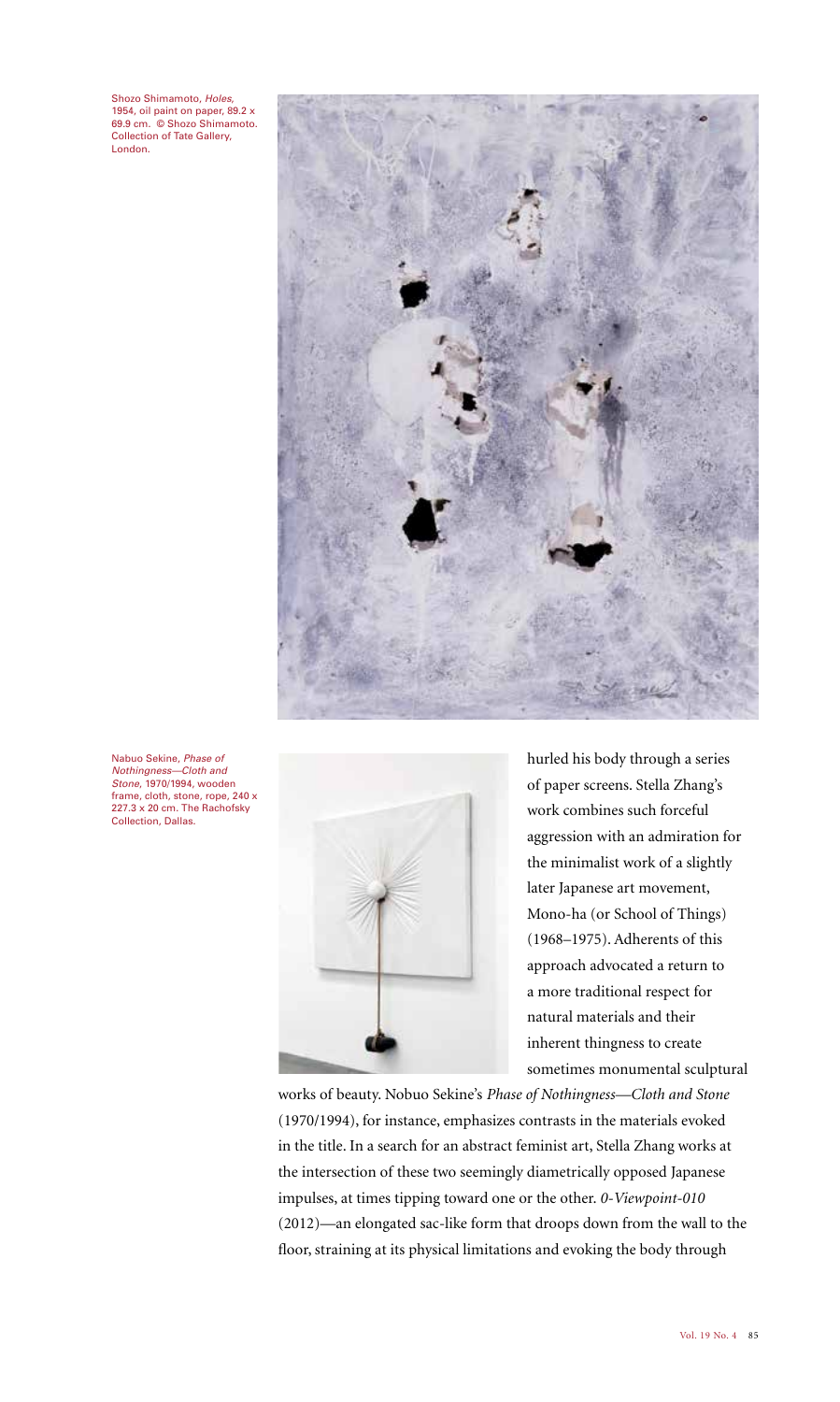Shozo Shimamoto, *Holes*, 1954, oil paint on paper, 89.2 x 69.9 cm. © Shozo Shimamoto. Collection of Tate Gallery, London.



Nabuo Sekine, *Phase of Nothingness—Cloth and Stone*, 1970/1994, wooden frame, cloth, stone, rope, 240 x 227.3 x 20 cm. The Rachofsky Collection, Dallas.



hurled his body through a series of paper screens. Stella Zhang's work combines such forceful aggression with an admiration for the minimalist work of a slightly later Japanese art movement, Mono-ha (or School of Things) (1968–1975). Adherents of this approach advocated a return to a more traditional respect for natural materials and their inherent thingness to create sometimes monumental sculptural

works of beauty. Nobuo Sekine's *Phase of Nothingness—Cloth and Stone* (1970/1994), for instance, emphasizes contrasts in the materials evoked in the title. In a search for an abstract feminist art, Stella Zhang works at the intersection of these two seemingly diametrically opposed Japanese impulses, at times tipping toward one or the other. *0-Viewpoint-010* (2012)—an elongated sac-like form that droops down from the wall to the floor, straining at its physical limitations and evoking the body through